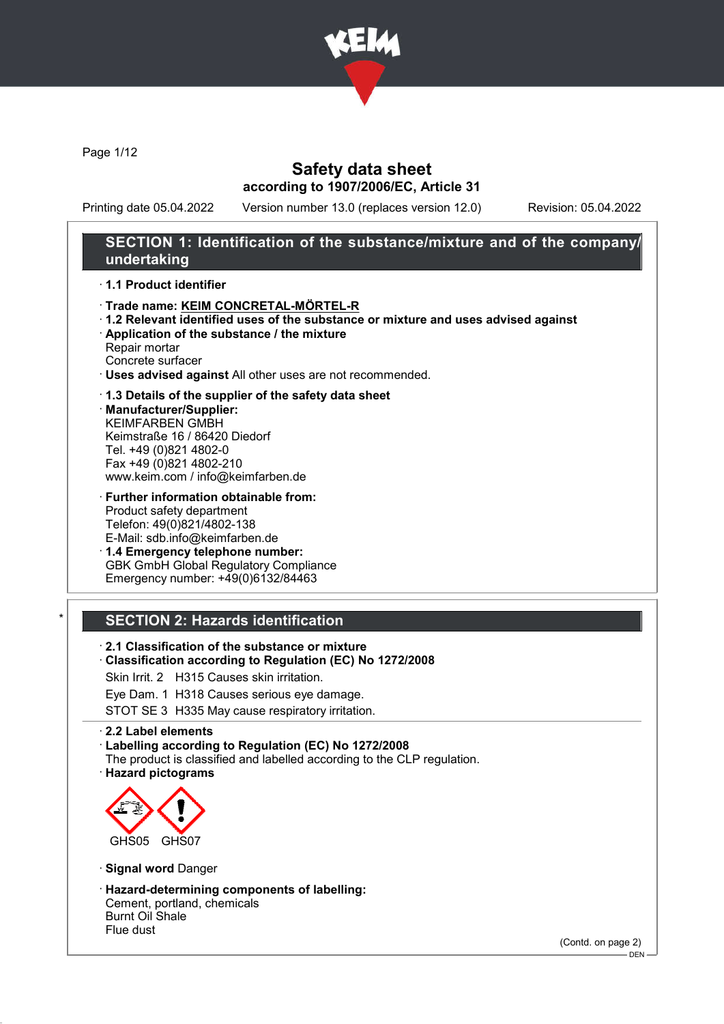

Page 1/12

# Safety data sheet according to 1907/2006/EC, Article 31

Printing date 05.04.2022 Version number 13.0 (replaces version 12.0) Revision: 05.04.2022

# SECTION 1: Identification of the substance/mixture and of the company/ undertaking

#### · 1.1 Product identifier

- · Trade name: KEIM CONCRETAL-MÖRTEL-R
- · 1.2 Relevant identified uses of the substance or mixture and uses advised against
- · Application of the substance / the mixture
- Repair mortar Concrete surfacer
- · Uses advised against All other uses are not recommended.

#### · 1.3 Details of the supplier of the safety data sheet

· Manufacturer/Supplier: KEIMFARBEN GMBH Keimstraße 16 / 86420 Diedorf Tel. +49 (0)821 4802-0 Fax +49 (0)821 4802-210 www.keim.com / info@keimfarben.de

- · Further information obtainable from: Product safety department Telefon: 49(0)821/4802-138 E-Mail: sdb.info@keimfarben.de
- · 1.4 Emergency telephone number: GBK GmbH Global Regulatory Compliance Emergency number: +49(0)6132/84463

### **SECTION 2: Hazards identification**

- · 2.1 Classification of the substance or mixture
- · Classification according to Regulation (EC) No 1272/2008
- Skin Irrit. 2 H315 Causes skin irritation.
- Eye Dam. 1 H318 Causes serious eye damage.
- STOT SE 3 H335 May cause respiratory irritation.

#### · 2.2 Label elements

· Labelling according to Regulation (EC) No 1272/2008

- The product is classified and labelled according to the CLP regulation.
- · Hazard pictograms



- · Signal word Danger
- · Hazard-determining components of labelling: Cement, portland, chemicals

Burnt Oil Shale Flue dust

(Contd. on page 2)

 $-$  DEN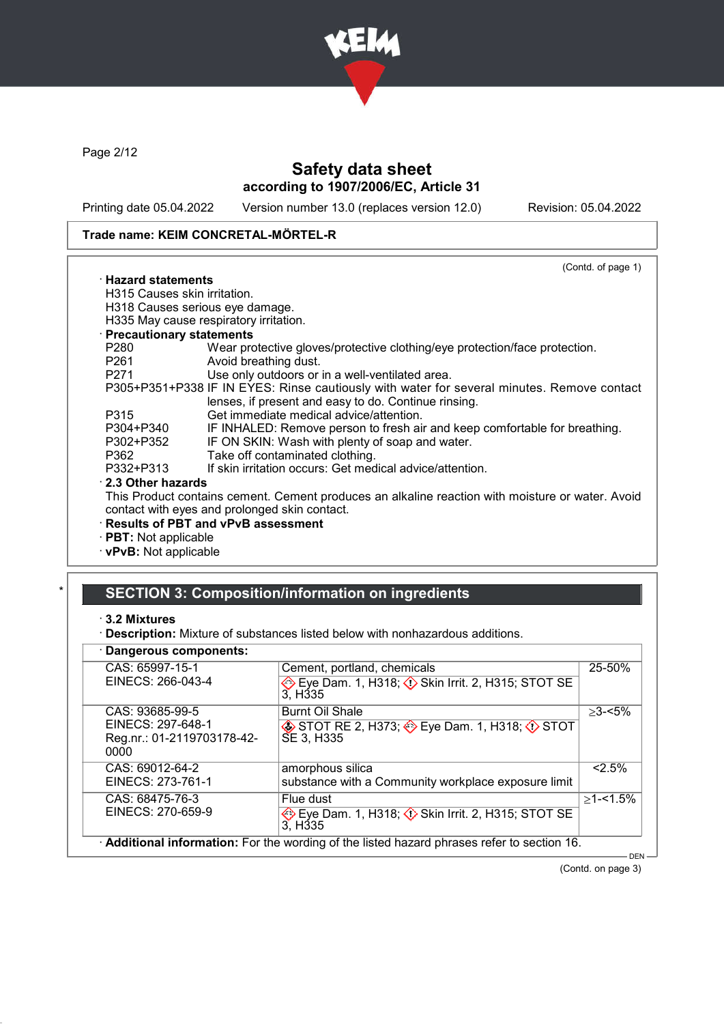

Page 2/12

# Safety data sheet according to 1907/2006/EC, Article 31

Printing date 05.04.2022 Version number 13.0 (replaces version 12.0) Revision: 05.04.2022

### Trade name: KEIM CONCRETAL-MÖRTEL-R

|                              | (Contd. of page 1)                                                                                                                                 |
|------------------------------|----------------------------------------------------------------------------------------------------------------------------------------------------|
| $\cdot$ Hazard statements    |                                                                                                                                                    |
| H315 Causes skin irritation. |                                                                                                                                                    |
|                              | H318 Causes serious eye damage.                                                                                                                    |
|                              | H335 May cause respiratory irritation.                                                                                                             |
| · Precautionary statements   |                                                                                                                                                    |
| P280                         | Wear protective gloves/protective clothing/eye protection/face protection.                                                                         |
| P261                         | Avoid breathing dust.                                                                                                                              |
| P271                         | Use only outdoors or in a well-ventilated area.                                                                                                    |
|                              | P305+P351+P338 IF IN EYES: Rinse cautiously with water for several minutes. Remove contact<br>lenses, if present and easy to do. Continue rinsing. |
| P315                         | Get immediate medical advice/attention.                                                                                                            |
| P304+P340                    | IF INHALED: Remove person to fresh air and keep comfortable for breathing.                                                                         |
| P302+P352                    | IF ON SKIN: Wash with plenty of soap and water.                                                                                                    |
| P362                         | Take off contaminated clothing.                                                                                                                    |
| P332+P313                    | If skin irritation occurs: Get medical advice/attention.                                                                                           |
| 2.3 Other hazards            |                                                                                                                                                    |
|                              | This Product contains cement. Cement produces an alkaline reaction with moisture or water. Avoid                                                   |
|                              | contact with eyes and prolonged skin contact.                                                                                                      |
|                              | · Results of PBT and vPvB assessment                                                                                                               |
| $\cdot$ PBT: Not applicable  |                                                                                                                                                    |
| · vPvB: Not applicable       |                                                                                                                                                    |
|                              |                                                                                                                                                    |

# SECTION 3: Composition/information on ingredients

#### · 3.2 Mixtures

· Description: Mixture of substances listed below with nonhazardous additions.

### · Dangerous components:

| Dangerous components.                                                      |                                                                                                        |              |
|----------------------------------------------------------------------------|--------------------------------------------------------------------------------------------------------|--------------|
| CAS: 65997-15-1<br>EINECS: 266-043-4                                       | Cement, portland, chemicals<br>Eye Dam. 1, H318; 3 Skin Irrit. 2, H315; STOT SE<br>3. H <sub>335</sub> | 25-50%       |
| CAS: 93685-99-5<br>EINECS: 297-648-1<br>Reg.nr.: 01-2119703178-42-<br>0000 | <b>Burnt Oil Shale</b><br>STOT RE 2, H373; SEye Dam. 1, H318; OSTOT<br>SE 3, H335                      | $>3 - 5\%$   |
| CAS: 69012-64-2<br>EINECS: 273-761-1                                       | amorphous silica<br>substance with a Community workplace exposure limit                                | 2.5%         |
| CAS: 68475-76-3<br>EINECS: 270-659-9                                       | Flue dust<br>Eye Dam. 1, H318; $\Diamond$ Skin Irrit. 2, H315; STOT SE<br>3. H <sub>335</sub>          | $>1 - 1.5\%$ |
|                                                                            | Additional information: For the wording of the listed hazard phrases refer to section 16.              | <b>DEN</b>   |

(Contd. on page 3)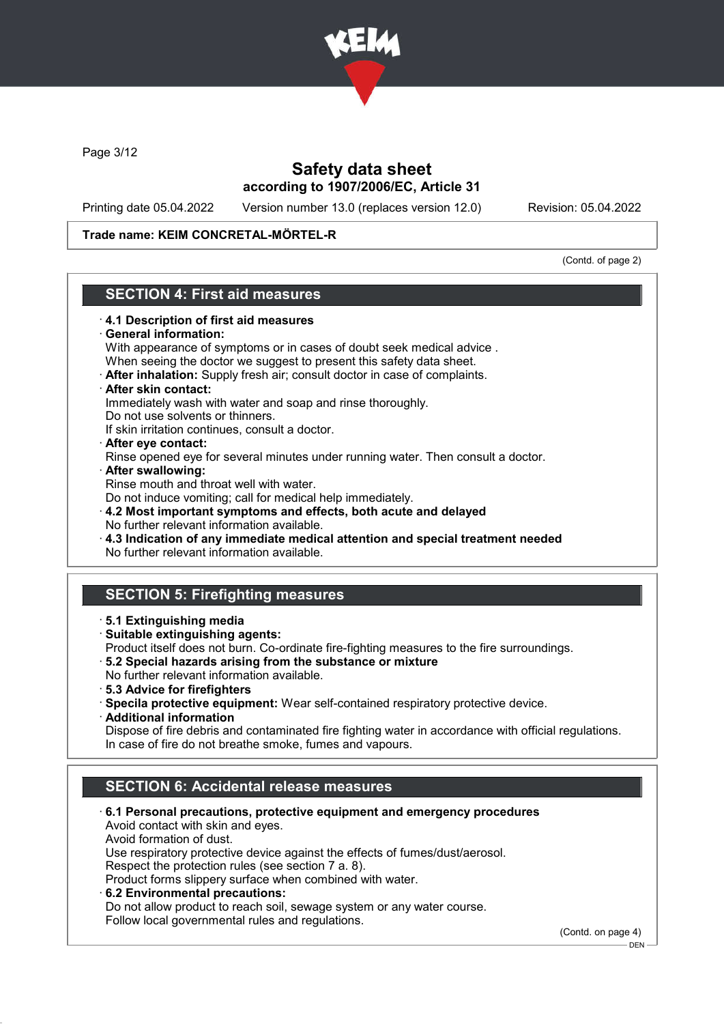

Page 3/12

# Safety data sheet according to 1907/2006/EC, Article 31

Printing date 05.04.2022 Version number 13.0 (replaces version 12.0) Revision: 05.04.2022

#### Trade name: KEIM CONCRETAL-MÖRTEL-R

(Contd. of page 2)

# SECTION 4: First aid measures

### · 4.1 Description of first aid measures General information: With appearance of symptoms or in cases of doubt seek medical advice . When seeing the doctor we suggest to present this safety data sheet. · After inhalation: Supply fresh air; consult doctor in case of complaints. · After skin contact: Immediately wash with water and soap and rinse thoroughly. Do not use solvents or thinners. If skin irritation continues, consult a doctor. · After eye contact: Rinse opened eye for several minutes under running water. Then consult a doctor. · After swallowing: Rinse mouth and throat well with water. Do not induce vomiting; call for medical help immediately. · 4.2 Most important symptoms and effects, both acute and delayed No further relevant information available. · 4.3 Indication of any immediate medical attention and special treatment needed No further relevant information available. SECTION 5: Firefighting measures · 5.1 Extinguishing media · Suitable extinguishing agents: Product itself does not burn. Co-ordinate fire-fighting measures to the fire surroundings. · 5.2 Special hazards arising from the substance or mixture No further relevant information available. · 5.3 Advice for firefighters · Specila protective equipment: Wear self-contained respiratory protective device. · Additional information Dispose of fire debris and contaminated fire fighting water in accordance with official regulations. In case of fire do not breathe smoke, fumes and vapours. SECTION 6: Accidental release measures · 6.1 Personal precautions, protective equipment and emergency procedures Avoid contact with skin and eyes. Avoid formation of dust. Use respiratory protective device against the effects of fumes/dust/aerosol. Respect the protection rules (see section 7 a. 8). Product forms slippery surface when combined with water. · 6.2 Environmental precautions:

Do not allow product to reach soil, sewage system or any water course. Follow local governmental rules and regulations.

(Contd. on page 4)

 $-$  DFN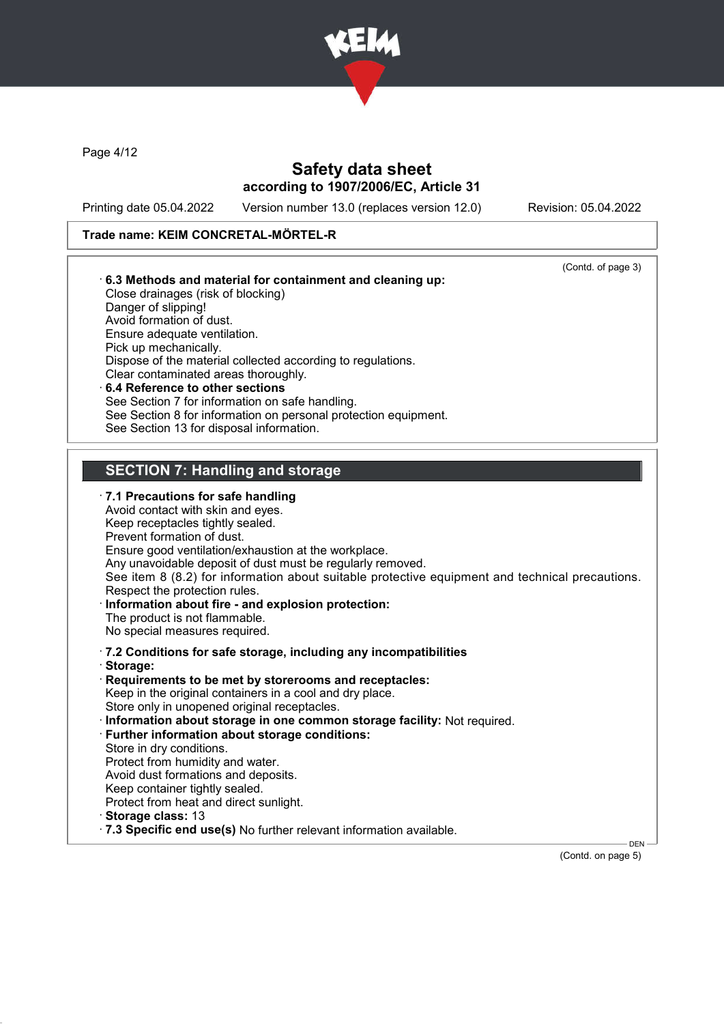

Page 4/12

# Safety data sheet according to 1907/2006/EC, Article 31

Printing date 05.04.2022 Version number 13.0 (replaces version 12.0) Revision: 05.04.2022

## Trade name: KEIM CONCRETAL-MÖRTEL-R

|                     |                                                                         | (Contd. of page 3)                                                                              |
|---------------------|-------------------------------------------------------------------------|-------------------------------------------------------------------------------------------------|
|                     | 6.3 Methods and material for containment and cleaning up:               |                                                                                                 |
| Danger of slipping! | Close drainages (risk of blocking)                                      |                                                                                                 |
|                     | Avoid formation of dust.                                                |                                                                                                 |
|                     | Ensure adequate ventilation.                                            |                                                                                                 |
|                     | Pick up mechanically.                                                   |                                                                                                 |
|                     | Dispose of the material collected according to regulations.             |                                                                                                 |
|                     | Clear contaminated areas thoroughly.                                    |                                                                                                 |
|                     | 6.4 Reference to other sections                                         |                                                                                                 |
|                     | See Section 7 for information on safe handling.                         |                                                                                                 |
|                     | See Section 8 for information on personal protection equipment.         |                                                                                                 |
|                     | See Section 13 for disposal information.                                |                                                                                                 |
|                     |                                                                         |                                                                                                 |
|                     | <b>SECTION 7: Handling and storage</b>                                  |                                                                                                 |
|                     | $\cdot$ 7.1 Precautions for safe handling                               |                                                                                                 |
|                     | Avoid contact with skin and eyes.                                       |                                                                                                 |
|                     | Keep receptacles tightly sealed.                                        |                                                                                                 |
|                     | Prevent formation of dust.                                              |                                                                                                 |
|                     | Ensure good ventilation/exhaustion at the workplace.                    |                                                                                                 |
|                     | Any unavoidable deposit of dust must be regularly removed.              | See item 8 (8.2) for information about suitable protective equipment and technical precautions. |
|                     | Respect the protection rules.                                           |                                                                                                 |
|                     | Information about fire - and explosion protection:                      |                                                                                                 |
|                     | The product is not flammable.                                           |                                                                                                 |
|                     | No special measures required.                                           |                                                                                                 |
|                     | .7.2 Conditions for safe storage, including any incompatibilities       |                                                                                                 |
| · Storage:          |                                                                         |                                                                                                 |
|                     | Requirements to be met by storerooms and receptacles:                   |                                                                                                 |
|                     | Keep in the original containers in a cool and dry place.                |                                                                                                 |
|                     | Store only in unopened original receptacles.                            |                                                                                                 |
|                     | Information about storage in one common storage facility: Not required. |                                                                                                 |
|                     | · Further information about storage conditions:                         |                                                                                                 |
|                     | Store in dry conditions.                                                |                                                                                                 |
|                     | Protect from humidity and water.                                        |                                                                                                 |
|                     | Avoid dust formations and deposits.                                     |                                                                                                 |
|                     | Keep container tightly sealed.                                          |                                                                                                 |
|                     | Protect from heat and direct sunlight.                                  |                                                                                                 |
|                     |                                                                         |                                                                                                 |
| Storage class: 13   | .7.3 Specific end use(s) No further relevant information available.     |                                                                                                 |

(Contd. on page 5)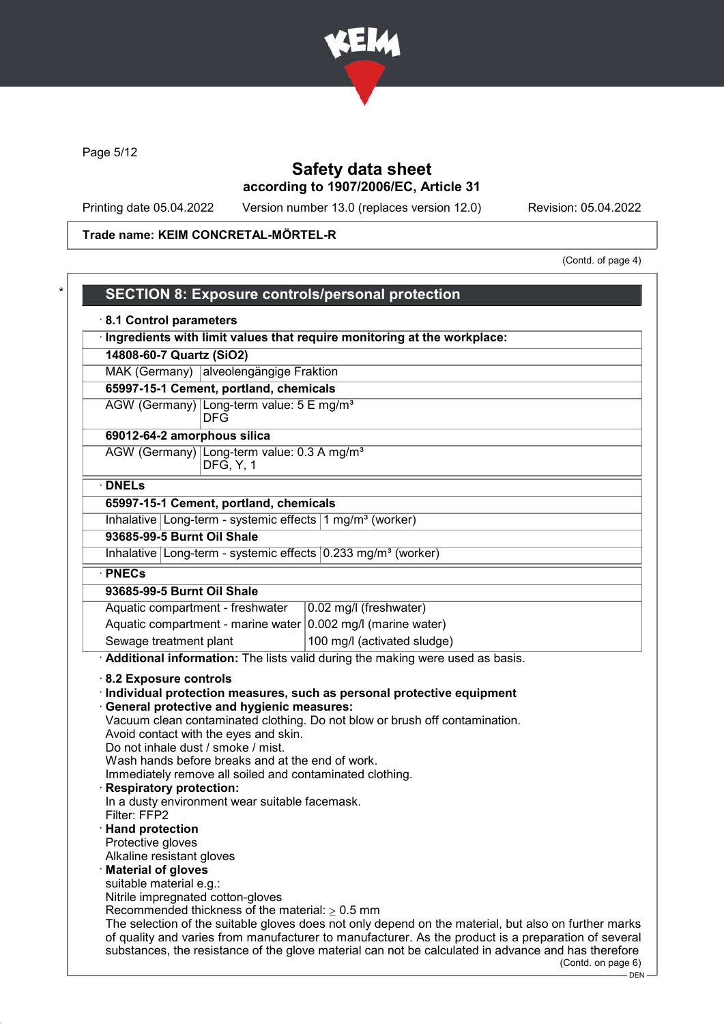

Page 5/12

# Safety data sheet according to 1907/2006/EC, Article 31

Printing date 05.04.2022 Version number 13.0 (replaces version 12.0) Revision: 05.04.2022

# Trade name: KEIM CONCRETAL-MÖRTEL-R

(Contd. of page 4)

| 8.1 Control parameters<br>Ingredients with limit values that require monitoring at the workplace:                                                                                                                                                                                                                                                                     |                                                                                                                                                      |
|-----------------------------------------------------------------------------------------------------------------------------------------------------------------------------------------------------------------------------------------------------------------------------------------------------------------------------------------------------------------------|------------------------------------------------------------------------------------------------------------------------------------------------------|
| 14808-60-7 Quartz (SiO2)                                                                                                                                                                                                                                                                                                                                              |                                                                                                                                                      |
| MAK (Germany) alveolengängige Fraktion                                                                                                                                                                                                                                                                                                                                |                                                                                                                                                      |
| 65997-15-1 Cement, portland, chemicals                                                                                                                                                                                                                                                                                                                                |                                                                                                                                                      |
| AGW (Germany) Long-term value: 5 E mg/m <sup>3</sup><br><b>DFG</b>                                                                                                                                                                                                                                                                                                    |                                                                                                                                                      |
| 69012-64-2 amorphous silica                                                                                                                                                                                                                                                                                                                                           |                                                                                                                                                      |
| AGW (Germany) Long-term value: 0.3 A mg/m <sup>3</sup><br><b>DFG, Y, 1</b>                                                                                                                                                                                                                                                                                            |                                                                                                                                                      |
| $\cdot$ DNELs                                                                                                                                                                                                                                                                                                                                                         |                                                                                                                                                      |
| 65997-15-1 Cement, portland, chemicals                                                                                                                                                                                                                                                                                                                                |                                                                                                                                                      |
| Inhalative Long-term - systemic effects 1 mg/m <sup>3</sup> (worker)                                                                                                                                                                                                                                                                                                  |                                                                                                                                                      |
| 93685-99-5 Burnt Oil Shale                                                                                                                                                                                                                                                                                                                                            |                                                                                                                                                      |
| Inhalative Long-term - systemic effects $0.233$ mg/m <sup>3</sup> (worker)                                                                                                                                                                                                                                                                                            |                                                                                                                                                      |
| · PNECs                                                                                                                                                                                                                                                                                                                                                               |                                                                                                                                                      |
| 93685-99-5 Burnt Oil Shale                                                                                                                                                                                                                                                                                                                                            |                                                                                                                                                      |
| Aquatic compartment - freshwater                                                                                                                                                                                                                                                                                                                                      | 0.02 mg/l (freshwater)                                                                                                                               |
| Aquatic compartment - marine water $0.002$ mg/l (marine water)                                                                                                                                                                                                                                                                                                        |                                                                                                                                                      |
| Sewage treatment plant                                                                                                                                                                                                                                                                                                                                                | 100 mg/l (activated sludge)                                                                                                                          |
|                                                                                                                                                                                                                                                                                                                                                                       | Additional information: The lists valid during the making were used as basis.                                                                        |
| 8.2 Exposure controls<br>General protective and hygienic measures:<br>Avoid contact with the eyes and skin.<br>Do not inhale dust / smoke / mist.<br>Wash hands before breaks and at the end of work.<br>Immediately remove all soiled and contaminated clothing.<br><b>Respiratory protection:</b><br>In a dusty environment wear suitable facemask.<br>Filter: FFP2 | Individual protection measures, such as personal protective equipment<br>Vacuum clean contaminated clothing. Do not blow or brush off contamination. |
| · Hand protection<br>Protective gloves                                                                                                                                                                                                                                                                                                                                |                                                                                                                                                      |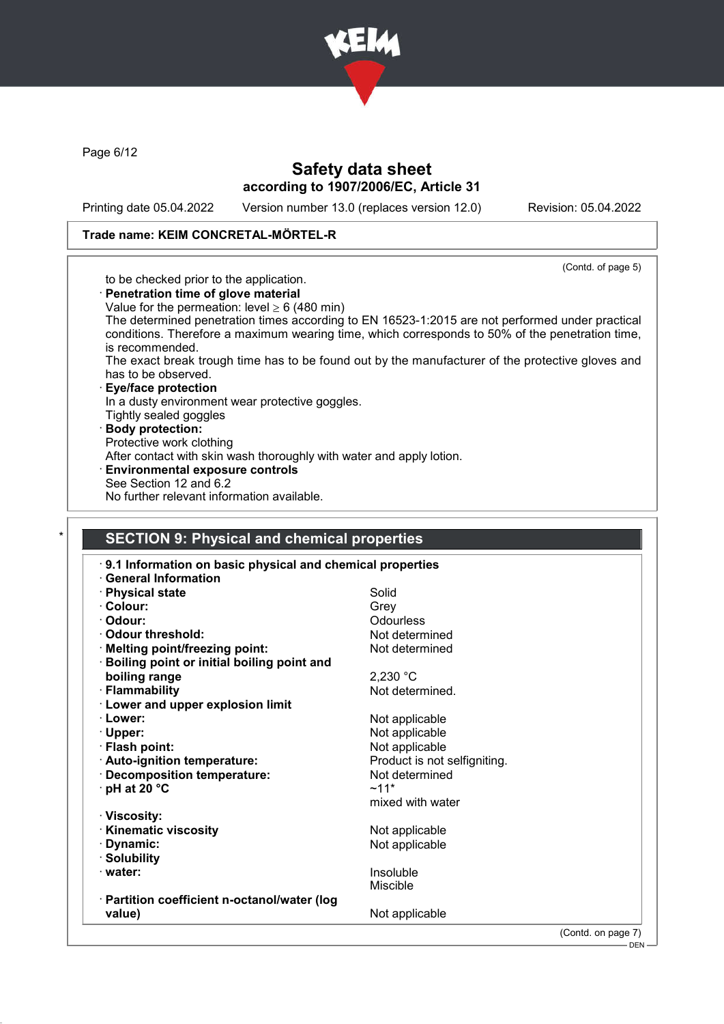

Page 6/12

# Safety data sheet according to 1907/2006/EC, Article 31

Printing date 05.04.2022 Version number 13.0 (replaces version 12.0) Revision: 05.04.2022

### Trade name: KEIM CONCRETAL-MÖRTEL-R

(Contd. of page 5)

DEN

|  |  | to be checked prior to the application. |
|--|--|-----------------------------------------|
|  |  |                                         |

- · Penetration time of glove material
- Value for the permeation: level  $> 6$  (480 min)
- The determined penetration times according to EN 16523-1:2015 are not performed under practical conditions. Therefore a maximum wearing time, which corresponds to 50% of the penetration time, is recommended.
- The exact break trough time has to be found out by the manufacturer of the protective gloves and has to be observed.

#### · Eye/face protection In a dusty environment wear protective goggles.

- Tightly sealed goggles
- · Body protection:
- Protective work clothing
- After contact with skin wash thoroughly with water and apply lotion.
- Environmental exposure controls
- See Section 12 and 6.2
- No further relevant information available.

### **SECTION 9: Physical and chemical properties**

| 9.1 Information on basic physical and chemical properties<br>· General Information |                              |                    |
|------------------------------------------------------------------------------------|------------------------------|--------------------|
| · Physical state                                                                   | Solid                        |                    |
| · Colour:                                                                          | Grey                         |                    |
| · Odour:                                                                           | Odourless                    |                    |
| Odour threshold:                                                                   | Not determined               |                    |
| · Melting point/freezing point:                                                    | Not determined               |                    |
| <b>Boiling point or initial boiling point and</b>                                  |                              |                    |
| boiling range                                                                      | 2,230 °C                     |                    |
| · Flammability                                                                     | Not determined.              |                    |
| <b>Lower and upper explosion limit</b>                                             |                              |                    |
| · Lower:                                                                           | Not applicable               |                    |
| $\cdot$ Upper:                                                                     | Not applicable               |                    |
| · Flash point:                                                                     | Not applicable               |                    |
| · Auto-ignition temperature:                                                       | Product is not selfigniting. |                    |
| Decomposition temperature:                                                         | Not determined               |                    |
| $\cdot$ pH at 20 °C                                                                | $~11*$                       |                    |
|                                                                                    | mixed with water             |                    |
| · Viscosity:                                                                       |                              |                    |
| <b>Kinematic viscosity</b>                                                         | Not applicable               |                    |
| · Dynamic:                                                                         | Not applicable               |                    |
| · Solubility                                                                       |                              |                    |
| · water:                                                                           | Insoluble                    |                    |
|                                                                                    | Miscible                     |                    |
| · Partition coefficient n-octanol/water (log                                       |                              |                    |
| value)                                                                             | Not applicable               |                    |
|                                                                                    |                              | (Contd. on page 7) |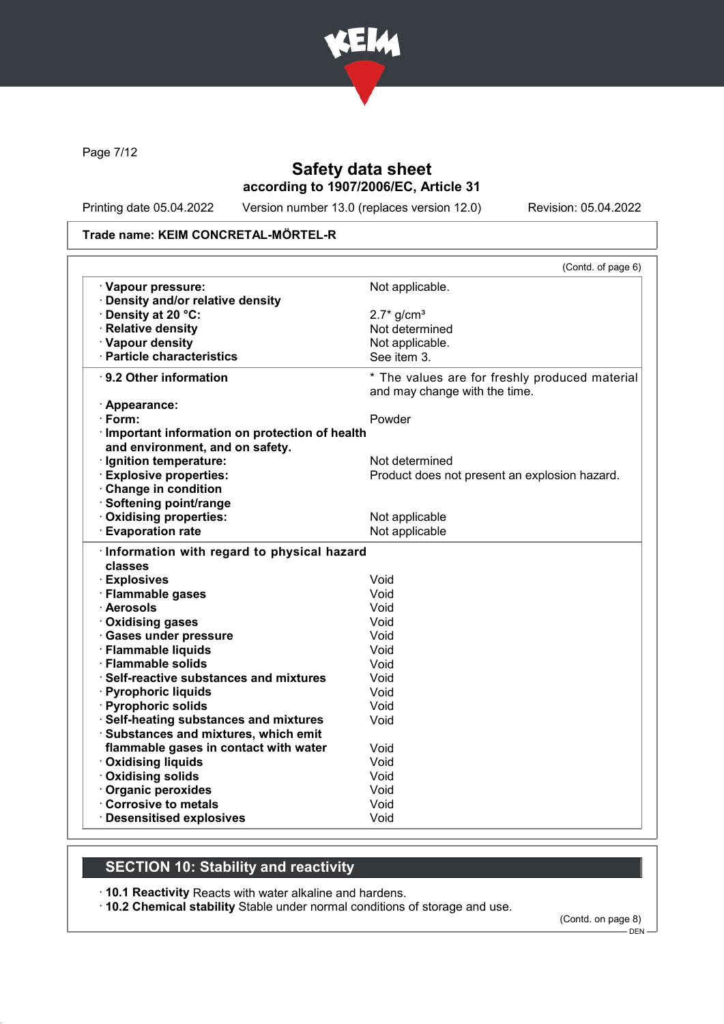

Page 7/12

# Safety data sheet according to 1907/2006/EC, Article 31

Printing date 05.04.2022 Version number 13.0 (replaces version 12.0) Revision: 05.04.2022

### Trade name: KEIM CONCRETAL-MÖRTEL-R

|                                                                                  | (Contd. of page 6)                                                              |
|----------------------------------------------------------------------------------|---------------------------------------------------------------------------------|
| · Vapour pressure:                                                               | Not applicable.                                                                 |
| · Density and/or relative density                                                |                                                                                 |
| · Density at 20 °C:                                                              | $2.7*$ g/cm <sup>3</sup>                                                        |
| · Relative density                                                               | Not determined                                                                  |
| · Vapour density                                                                 | Not applicable.                                                                 |
| · Particle characteristics                                                       | See item 3.                                                                     |
| ⋅ 9.2 Other information                                                          | * The values are for freshly produced material<br>and may change with the time. |
| · Appearance:                                                                    |                                                                                 |
| $\cdot$ Form:                                                                    | Powder                                                                          |
| Important information on protection of health<br>and environment, and on safety. |                                                                                 |
| · Ignition temperature:                                                          | Not determined                                                                  |
| <b>Explosive properties:</b>                                                     | Product does not present an explosion hazard.                                   |
| Change in condition                                                              |                                                                                 |
| · Softening point/range                                                          |                                                                                 |
| Oxidising properties:                                                            | Not applicable                                                                  |
| <b>Evaporation rate</b>                                                          | Not applicable                                                                  |
| Information with regard to physical hazard<br>classes                            |                                                                                 |
|                                                                                  |                                                                                 |
| · Explosives                                                                     | Void                                                                            |
| · Flammable gases                                                                | Void                                                                            |
| · Aerosols                                                                       | Void                                                                            |
| <b>Oxidising gases</b>                                                           | Void                                                                            |
| · Gases under pressure                                                           | Void                                                                            |
| · Flammable liquids                                                              | Void                                                                            |
| · Flammable solids                                                               | Void                                                                            |
| · Self-reactive substances and mixtures                                          | Void                                                                            |
| · Pyrophoric liquids                                                             | Void                                                                            |
| · Pyrophoric solids                                                              | Void                                                                            |
| · Self-heating substances and mixtures                                           | Void                                                                            |
| · Substances and mixtures, which emit                                            | Void                                                                            |
| flammable gases in contact with water                                            | Void                                                                            |
| · Oxidising liquids                                                              | Void                                                                            |
| Oxidising solids                                                                 | Void                                                                            |
| · Organic peroxides<br>Corrosive to metals                                       | Void                                                                            |

# SECTION 10: Stability and reactivity

· 10.1 Reactivity Reacts with water alkaline and hardens.

· 10.2 Chemical stability Stable under normal conditions of storage and use.

(Contd. on page 8) - DEN -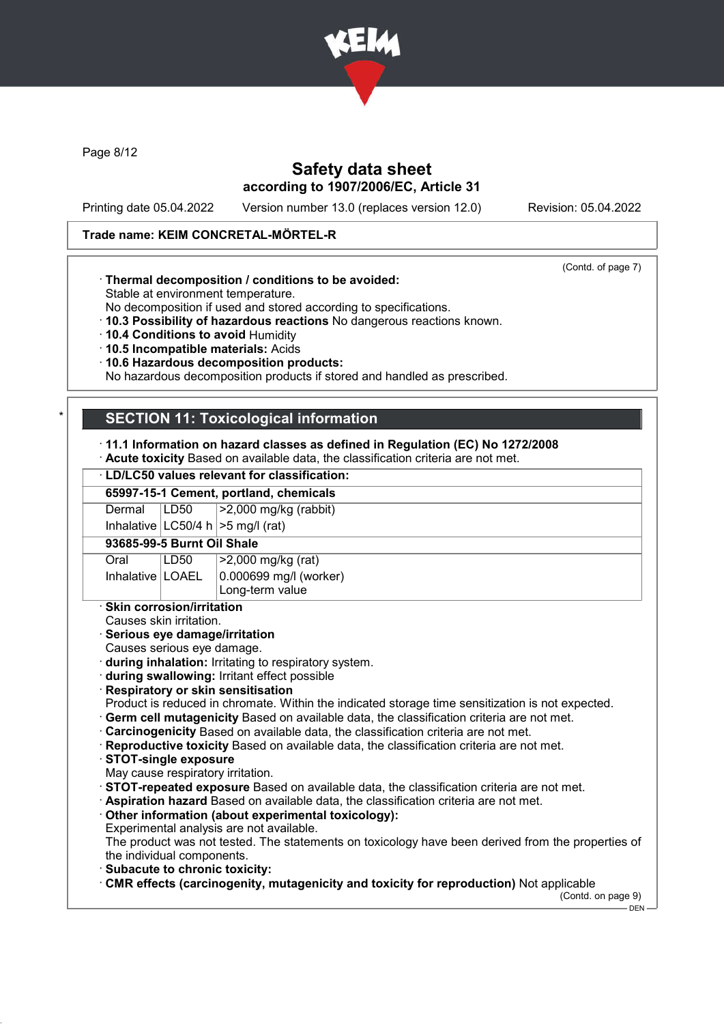

Page 8/12

# Safety data sheet according to 1907/2006/EC, Article 31

Printing date 05.04.2022 Version number 13.0 (replaces version 12.0) Revision: 05.04.2022

(Contd. of page 7)

#### Trade name: KEIM CONCRETAL-MÖRTEL-R

### · Thermal decomposition / conditions to be avoided:

Stable at environment temperature.

No decomposition if used and stored according to specifications.

- · 10.3 Possibility of hazardous reactions No dangerous reactions known.
- · 10.4 Conditions to avoid Humidity
- · 10.5 Incompatible materials: Acids
- · 10.6 Hazardous decomposition products:

No hazardous decomposition products if stored and handled as prescribed.

# **SECTION 11: Toxicological information**

· 11.1 Information on hazard classes as defined in Regulation (EC) No 1272/2008

· Acute toxicity Based on available data, the classification criteria are not met.

### · LD/LC50 values relevant for classification:

#### 65997-15-1 Cement, portland, chemicals

Dermal LD50 >2,000 mg/kg (rabbit)

Inhalative  $|LC50/4 h| > 5$  mg/l (rat)

93685-99-5 Burnt Oil Shale

| Oral               | LD50 | >2,000 mg/kg (rat)             |
|--------------------|------|--------------------------------|
| Inhalative   LOAEL |      | $\vert$ 0.000699 mg/l (worker) |
|                    |      | Long-term value                |

· Skin corrosion/irritation

Causes skin irritation.

#### · Serious eye damage/irritation

Causes serious eye damage.

- · during inhalation: Irritating to respiratory system.
- · during swallowing: Irritant effect possible
- · Respiratory or skin sensitisation

Product is reduced in chromate. Within the indicated storage time sensitization is not expected.

- · Germ cell mutagenicity Based on available data, the classification criteria are not met.
- · Carcinogenicity Based on available data, the classification criteria are not met.
- · Reproductive toxicity Based on available data, the classification criteria are not met.
- · STOT-single exposure

May cause respiratory irritation.

- · STOT-repeated exposure Based on available data, the classification criteria are not met.
- · Aspiration hazard Based on available data, the classification criteria are not met.
- · Other information (about experimental toxicology):
- Experimental analysis are not available.

The product was not tested. The statements on toxicology have been derived from the properties of the individual components.

- · Subacute to chronic toxicity:
- · CMR effects (carcinogenity, mutagenicity and toxicity for reproduction) Not applicable

(Contd. on page 9) - DEN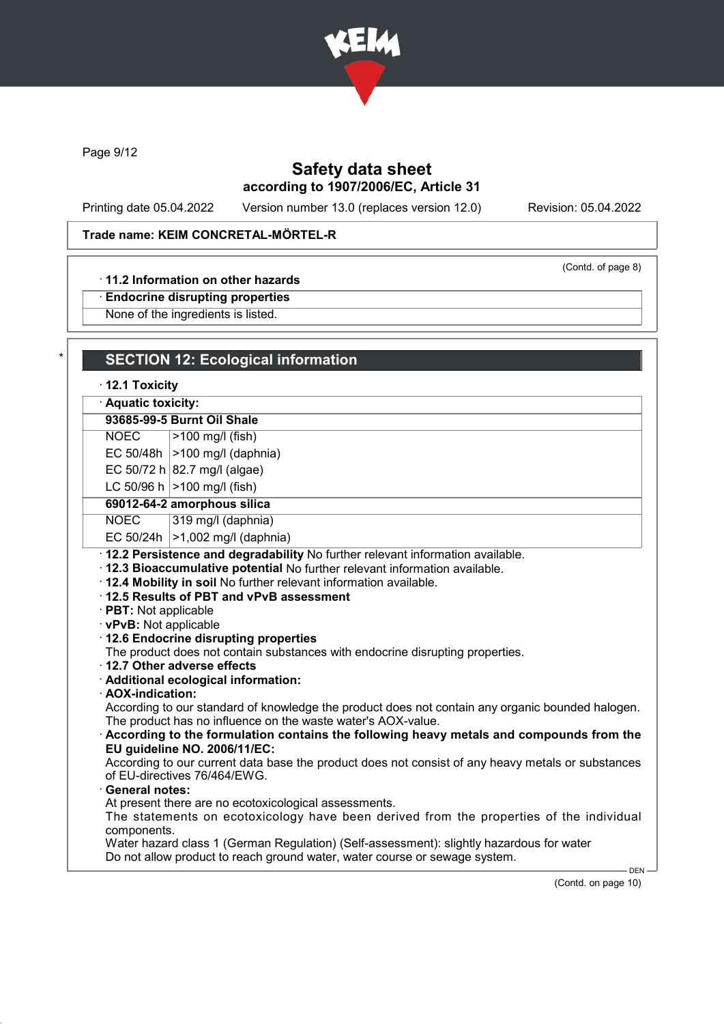

Page 9/12

# Safety data sheet according to 1907/2006/EC, Article 31

Printing date 05.04.2022 Version number 13.0 (replaces version 12.0) Revision: 05.04.2022

(Contd. of page 8)

# Trade name: KEIM CONCRETAL-MÖRTEL-R

#### · 11.2 Information on other hazards

· Endocrine disrupting properties

None of the ingredients is listed.

| $\cdot$ 12.1 Toxicity |                                                                                                                                                                  |
|-----------------------|------------------------------------------------------------------------------------------------------------------------------------------------------------------|
| · Aquatic toxicity:   |                                                                                                                                                                  |
|                       | 93685-99-5 Burnt Oil Shale                                                                                                                                       |
| <b>NOEC</b>           | >100 mg/l (fish)                                                                                                                                                 |
|                       | EC 50/48h $ >100$ mg/l (daphnia)                                                                                                                                 |
|                       | EC 50/72 h 82.7 mg/l (algae)                                                                                                                                     |
|                       | LC 50/96 h $ >100$ mg/l (fish)                                                                                                                                   |
|                       | 69012-64-2 amorphous silica                                                                                                                                      |
| <b>NOEC</b>           | 319 mg/l (daphnia)                                                                                                                                               |
| EC 50/24h             | $\vert$ >1,002 mg/l (daphnia)                                                                                                                                    |
|                       | · vPvB: Not applicable<br>· 12.6 Endocrine disrupting properties                                                                                                 |
|                       | The product does not contain substances with endocrine disrupting properties.<br>12.7 Other adverse effects<br>· Additional ecological information:              |
| · AOX-indication:     | According to our standard of knowledge the product does not contain any organic bounded halogen.<br>The product has no influence on the waste water's AOX-value. |
|                       | According to the formulation contains the following heavy metals and compounds from the<br>EU guideline NO. 2006/11/EC:                                          |
|                       | According to our current data base the product does not consist of any heavy metals or substances<br>of EU-directives 76/464/EWG.                                |
| · General notes:      | At present there are no ecotoxicological assessments.                                                                                                            |

(Contd. on page 10)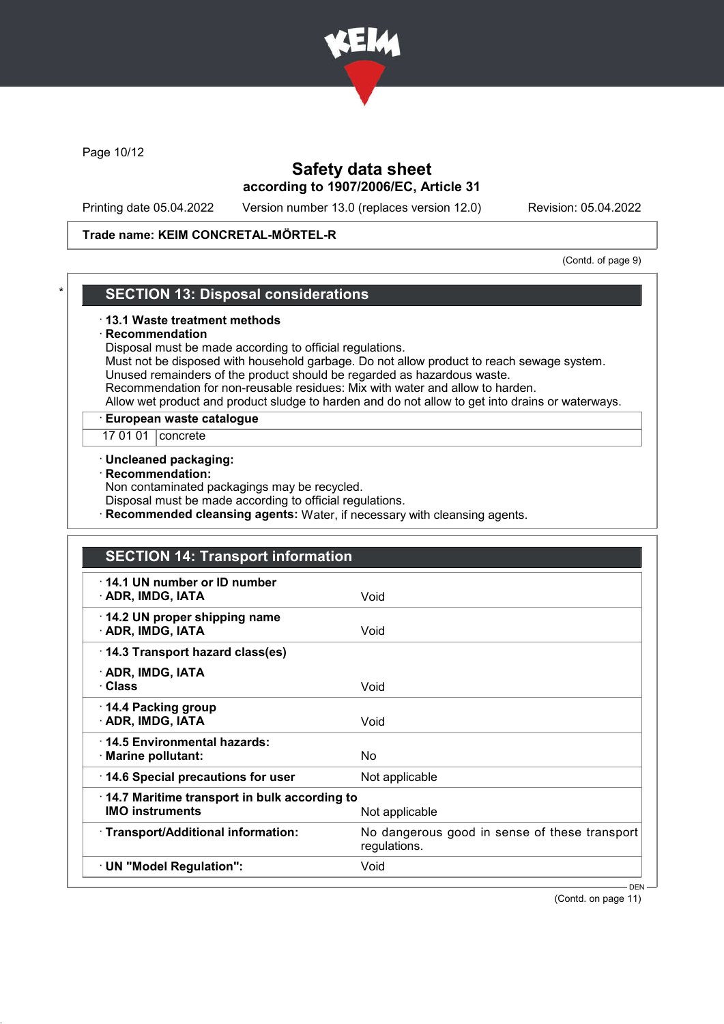

Page 10/12

# Safety data sheet according to 1907/2006/EC, Article 31

Printing date 05.04.2022 Version number 13.0 (replaces version 12.0) Revision: 05.04.2022

#### Trade name: KEIM CONCRETAL-MÖRTEL-R

(Contd. of page 9)

### **SECTION 13: Disposal considerations**

#### · 13.1 Waste treatment methods

#### **Recommendation**

Disposal must be made according to official regulations.

Must not be disposed with household garbage. Do not allow product to reach sewage system. Unused remainders of the product should be regarded as hazardous waste.

Recommendation for non-reusable residues: Mix with water and allow to harden.

Allow wet product and product sludge to harden and do not allow to get into drains or waterways.

### · European waste catalogue

17 01 01 | concrete

#### · Uncleaned packaging:

· Recommendation:

Non contaminated packagings may be recycled.

Disposal must be made according to official regulations.

Recommended cleansing agents: Water, if necessary with cleansing agents.

| <b>SECTION 14: Transport information</b>                               |                                                               |
|------------------------------------------------------------------------|---------------------------------------------------------------|
| 14.1 UN number or ID number<br>· ADR, IMDG, IATA                       | Void                                                          |
| 14.2 UN proper shipping name<br>· ADR, IMDG, IATA                      | Void                                                          |
| 14.3 Transport hazard class(es)                                        |                                                               |
| · ADR, IMDG, IATA<br>· Class                                           | Void                                                          |
| 14.4 Packing group<br>· ADR, IMDG, IATA                                | Void                                                          |
| 14.5 Environmental hazards:<br>· Marine pollutant:                     | <b>No</b>                                                     |
| 14.6 Special precautions for user                                      | Not applicable                                                |
| 14.7 Maritime transport in bulk according to<br><b>IMO instruments</b> | Not applicable                                                |
| · Transport/Additional information:                                    | No dangerous good in sense of these transport<br>regulations. |
| · UN "Model Regulation":                                               | Void                                                          |
|                                                                        | – DEN —                                                       |

(Contd. on page 11)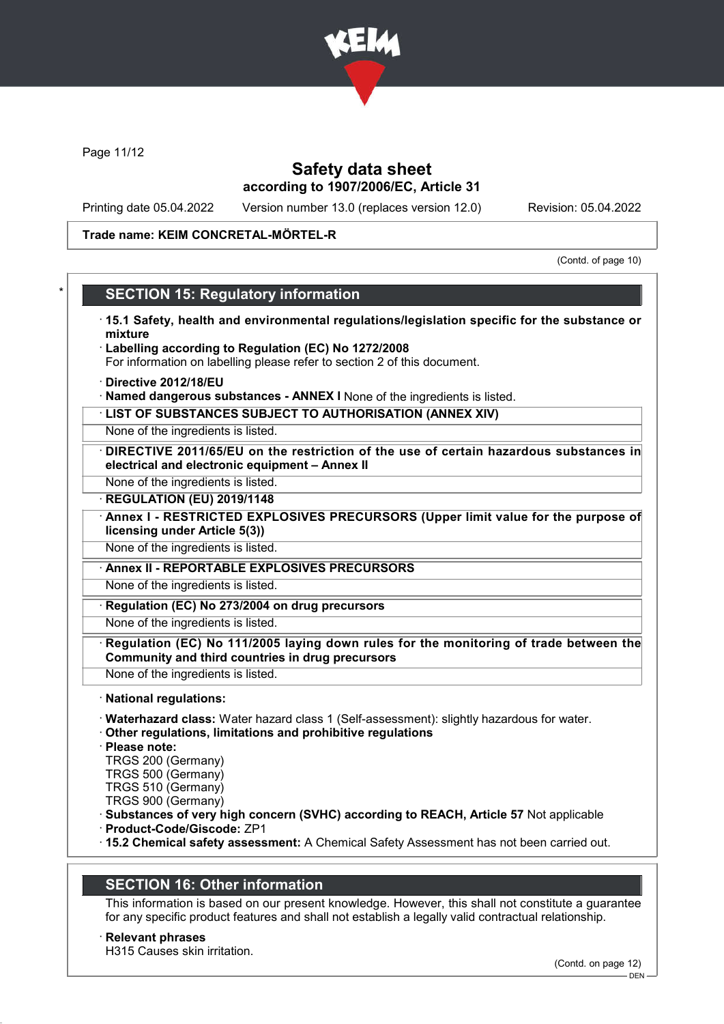

Page 11/12

# Safety data sheet according to 1907/2006/EC, Article 31

Printing date 05.04.2022 Version number 13.0 (replaces version 12.0) Revision: 05.04.2022

#### Trade name: KEIM CONCRETAL-MÖRTEL-R

(Contd. of page 10)

# **SECTION 15: Regulatory information**

- · 15.1 Safety, health and environmental regulations/legislation specific for the substance or mixture
- · Labelling according to Regulation (EC) No 1272/2008 For information on labelling please refer to section 2 of this document.
- · Directive 2012/18/EU
- · Named dangerous substances ANNEX I None of the ingredients is listed.
- · LIST OF SUBSTANCES SUBJECT TO AUTHORISATION (ANNEX XIV)

None of the ingredients is listed.

- DIRECTIVE 2011/65/EU on the restriction of the use of certain hazardous substances in electrical and electronic equipment – Annex II
- None of the ingredients is listed.
- **REGULATION (EU) 2019/1148**
- Annex I RESTRICTED EXPLOSIVES PRECURSORS (Upper limit value for the purpose of licensing under Article 5(3))
- None of the ingredients is listed.
- · Annex II REPORTABLE EXPLOSIVES PRECURSORS

None of the ingredients is listed.

Regulation (EC) No 273/2004 on drug precursors

None of the ingredients is listed.

- Regulation (EC) No 111/2005 laying down rules for the monitoring of trade between the Community and third countries in drug precursors
- None of the ingredients is listed.
- · National regulations:
- · Waterhazard class: Water hazard class 1 (Self-assessment): slightly hazardous for water.
- · Other regulations, limitations and prohibitive regulations
- · Please note:
- TRGS 200 (Germany)
- TRGS 500 (Germany)
- TRGS 510 (Germany)
- TRGS 900 (Germany)
- · Substances of very high concern (SVHC) according to REACH, Article 57 Not applicable
- · Product-Code/Giscode: ZP1
- · 15.2 Chemical safety assessment: A Chemical Safety Assessment has not been carried out.

# SECTION 16: Other information

This information is based on our present knowledge. However, this shall not constitute a guarantee for any specific product features and shall not establish a legally valid contractual relationship.

**Relevant phrases** H315 Causes skin irritation.